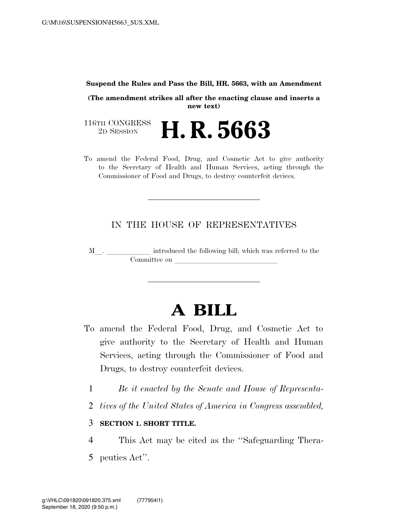#### **Suspend the Rules and Pass the Bill, HR. 5663, with an Amendment**

**(The amendment strikes all after the enacting clause and inserts a new text)** 

116TH CONGRESS<br>2D SESSION 2D SESSION **H. R. 5663** 

To amend the Federal Food, Drug, and Cosmetic Act to give authority to the Secretary of Health and Human Services, acting through the Commissioner of Food and Drugs, to destroy counterfeit devices.

# IN THE HOUSE OF REPRESENTATIVES

<sup>M</sup>l. llllll introduced the following bill; which was referred to the Committee on

# **A BILL**

- To amend the Federal Food, Drug, and Cosmetic Act to give authority to the Secretary of Health and Human Services, acting through the Commissioner of Food and Drugs, to destroy counterfeit devices.
	- 1 *Be it enacted by the Senate and House of Representa-*
	- 2 *tives of the United States of America in Congress assembled,*

## 3 **SECTION 1. SHORT TITLE.**

- 4 This Act may be cited as the ''Safeguarding Thera-
- 5 peutics Act''.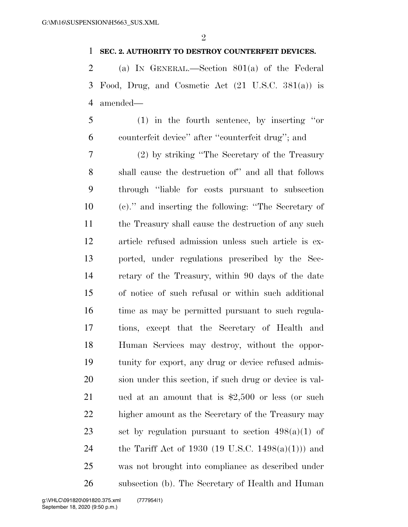### **SEC. 2. AUTHORITY TO DESTROY COUNTERFEIT DEVICES.**

 (a) IN GENERAL.—Section 801(a) of the Federal Food, Drug, and Cosmetic Act (21 U.S.C. 381(a)) is amended—

 (1) in the fourth sentence, by inserting ''or counterfeit device'' after ''counterfeit drug''; and

 (2) by striking ''The Secretary of the Treasury shall cause the destruction of'' and all that follows through ''liable for costs pursuant to subsection (c).'' and inserting the following: ''The Secretary of 11 the Treasury shall cause the destruction of any such article refused admission unless such article is ex- ported, under regulations prescribed by the Sec- retary of the Treasury, within 90 days of the date of notice of such refusal or within such additional 16 time as may be permitted pursuant to such regula- tions, except that the Secretary of Health and Human Services may destroy, without the oppor- tunity for export, any drug or device refused admis- sion under this section, if such drug or device is val- ued at an amount that is \$2,500 or less (or such higher amount as the Secretary of the Treasury may 23 set by regulation pursuant to section  $498(a)(1)$  of the Tariff Act of 1930 (19 U.S.C. 1498(a)(1))) and was not brought into compliance as described under subsection (b). The Secretary of Health and Human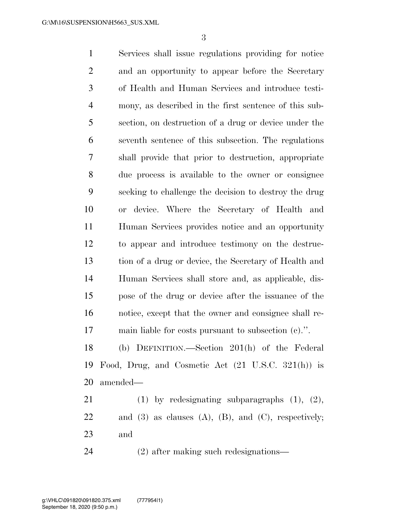Services shall issue regulations providing for notice and an opportunity to appear before the Secretary of Health and Human Services and introduce testi- mony, as described in the first sentence of this sub- section, on destruction of a drug or device under the seventh sentence of this subsection. The regulations shall provide that prior to destruction, appropriate due process is available to the owner or consignee seeking to challenge the decision to destroy the drug or device. Where the Secretary of Health and Human Services provides notice and an opportunity to appear and introduce testimony on the destruc- tion of a drug or device, the Secretary of Health and Human Services shall store and, as applicable, dis- pose of the drug or device after the issuance of the notice, except that the owner and consignee shall re- main liable for costs pursuant to subsection (c).''. (b) DEFINITION.—Section 201(h) of the Federal Food, Drug, and Cosmetic Act (21 U.S.C. 321(h)) is amended— 21 (1) by redesignating subparagraphs  $(1)$ ,  $(2)$ , 22 and (3) as clauses  $(A)$ ,  $(B)$ , and  $(C)$ , respectively;

- and
- (2) after making such redesignations—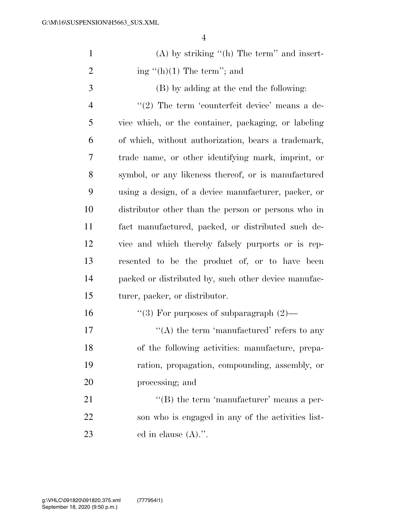| $\mathbf{1}$   | $(A)$ by striking " $(h)$ The term" and insert-      |
|----------------|------------------------------------------------------|
| $\overline{2}$ | ing "(h)(1) The term"; and                           |
| 3              | (B) by adding at the end the following:              |
| 4              | $\lq(2)$ The term 'counterfeit device' means a de-   |
| 5              | vice which, or the container, packaging, or labeling |
| 6              | of which, without authorization, bears a trademark,  |
| 7              | trade name, or other identifying mark, imprint, or   |
| 8              | symbol, or any likeness thereof, or is manufactured  |
| 9              | using a design, of a device manufacturer, packer, or |
| 10             | distributor other than the person or persons who in  |
| 11             | fact manufactured, packed, or distributed such de-   |
| 12             | vice and which thereby falsely purports or is rep-   |
| 13             | resented to be the product of, or to have been       |
| 14             | packed or distributed by, such other device manufac- |
| 15             | turer, packer, or distributor.                       |
| 16             | "(3) For purposes of subparagraph $(2)$ —            |
| 17             | $\lq\lq$ the term 'manufactured' refers to any       |
| 18             | of the following activities: manufacture, prepa-     |
| 19             | ration, propagation, compounding, assembly, or       |
| 20             | processing; and                                      |
| 21             | $\lq\lq$ (B) the term 'manufacturer' means a per-    |
| 22             | son who is engaged in any of the activities list-    |
| 23             | ed in clause $(A)$ .".                               |